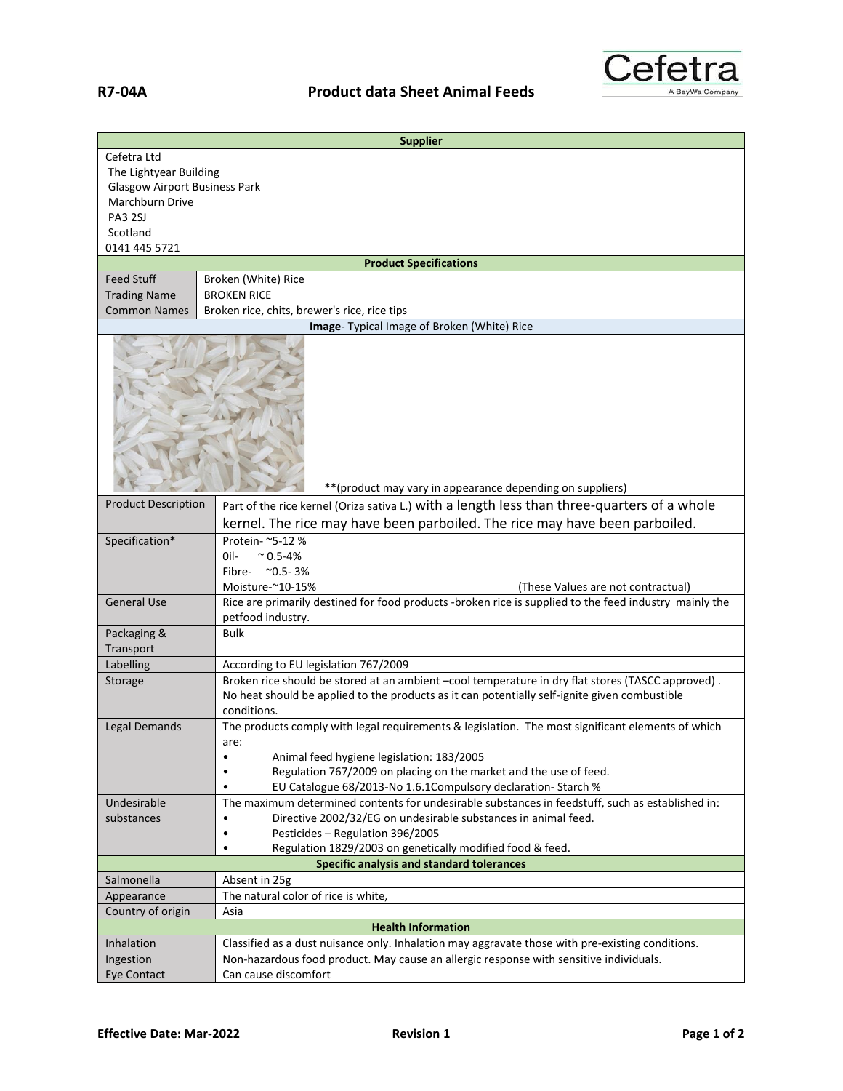

| <b>Supplier</b>                                            |                                                                                                                                                                                                                   |  |
|------------------------------------------------------------|-------------------------------------------------------------------------------------------------------------------------------------------------------------------------------------------------------------------|--|
| Cefetra Ltd                                                |                                                                                                                                                                                                                   |  |
| The Lightyear Building                                     |                                                                                                                                                                                                                   |  |
| <b>Glasgow Airport Business Park</b>                       |                                                                                                                                                                                                                   |  |
| Marchburn Drive                                            |                                                                                                                                                                                                                   |  |
| PA3 2SJ                                                    |                                                                                                                                                                                                                   |  |
| Scotland                                                   |                                                                                                                                                                                                                   |  |
| 0141 445 5721                                              |                                                                                                                                                                                                                   |  |
| <b>Product Specifications</b>                              |                                                                                                                                                                                                                   |  |
| <b>Feed Stuff</b>                                          | Broken (White) Rice                                                                                                                                                                                               |  |
| <b>Trading Name</b>                                        | <b>BROKEN RICE</b>                                                                                                                                                                                                |  |
| <b>Common Names</b>                                        | Broken rice, chits, brewer's rice, rice tips                                                                                                                                                                      |  |
| Image- Typical Image of Broken (White) Rice                |                                                                                                                                                                                                                   |  |
| ** (product may vary in appearance depending on suppliers) |                                                                                                                                                                                                                   |  |
| <b>Product Description</b>                                 | Part of the rice kernel (Oriza sativa L.) with a length less than three-quarters of a whole                                                                                                                       |  |
|                                                            |                                                                                                                                                                                                                   |  |
|                                                            | kernel. The rice may have been parboiled. The rice may have been parboiled.                                                                                                                                       |  |
| Specification*                                             | Protein- ~5-12 %                                                                                                                                                                                                  |  |
|                                                            | $^{\sim}$ 0.5-4%<br>Oil-                                                                                                                                                                                          |  |
|                                                            | Fibre- ~0.5-3%                                                                                                                                                                                                    |  |
|                                                            | Moisture-~10-15%<br>(These Values are not contractual)                                                                                                                                                            |  |
| <b>General Use</b>                                         | Rice are primarily destined for food products -broken rice is supplied to the feed industry mainly the<br>petfood industry.                                                                                       |  |
| Packaging &                                                | <b>Bulk</b>                                                                                                                                                                                                       |  |
| Transport                                                  |                                                                                                                                                                                                                   |  |
| Labelling                                                  | According to EU legislation 767/2009                                                                                                                                                                              |  |
| Storage                                                    | Broken rice should be stored at an ambient -cool temperature in dry flat stores (TASCC approved).<br>No heat should be applied to the products as it can potentially self-ignite given combustible<br>conditions. |  |
| Legal Demands                                              | The products comply with legal requirements & legislation. The most significant elements of which                                                                                                                 |  |
|                                                            | are:                                                                                                                                                                                                              |  |
|                                                            | Animal feed hygiene legislation: 183/2005<br>$\bullet$                                                                                                                                                            |  |
|                                                            | Regulation 767/2009 on placing on the market and the use of feed.<br>$\bullet$                                                                                                                                    |  |
|                                                            | EU Catalogue 68/2013-No 1.6.1 Compulsory declaration-Starch %<br>٠                                                                                                                                                |  |
| Undesirable                                                | The maximum determined contents for undesirable substances in feedstuff, such as established in:                                                                                                                  |  |
| substances                                                 | Directive 2002/32/EG on undesirable substances in animal feed.                                                                                                                                                    |  |
|                                                            | Pesticides - Regulation 396/2005<br>$\bullet$                                                                                                                                                                     |  |
|                                                            | Regulation 1829/2003 on genetically modified food & feed.<br>$\bullet$                                                                                                                                            |  |
| Specific analysis and standard tolerances                  |                                                                                                                                                                                                                   |  |
| Salmonella                                                 | Absent in 25g<br>The natural color of rice is white,                                                                                                                                                              |  |
| Appearance                                                 |                                                                                                                                                                                                                   |  |
| Country of origin<br>Asia                                  |                                                                                                                                                                                                                   |  |
| <b>Health Information</b>                                  |                                                                                                                                                                                                                   |  |
| Inhalation                                                 | Classified as a dust nuisance only. Inhalation may aggravate those with pre-existing conditions.                                                                                                                  |  |
| Ingestion                                                  | Non-hazardous food product. May cause an allergic response with sensitive individuals.                                                                                                                            |  |
| <b>Eye Contact</b>                                         | Can cause discomfort                                                                                                                                                                                              |  |